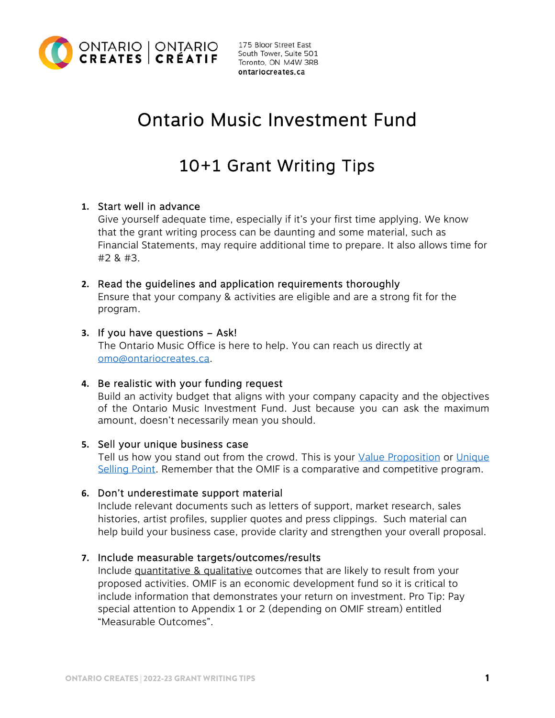

175 Bloor Street East South Tower, Suite 501 Toronto, ON M4W 3R8 ontariocreates.ca

# Ontario Music Investment Fund

## 10+1 Grant Writing Tips

## **1.** Start well in advance

Give yourself adequate time, especially if it's your first time applying. We know that the grant writing process can be daunting and some material, such as Financial Statements, may require additional time to prepare. It also allows time for #2 & #3.

## **2.** Read the guidelines and application requirements thoroughly

Ensure that your company & activities are eligible and are a strong fit for the program.

## **3.** If you have questions – Ask!

The Ontario Music Office is here to help. You can reach us directly at omo@ontariocreates.ca.

## **4.** Be realistic with your funding request

Build an activity budget that aligns with your company capacity and the objectives of the Ontario Music Investment Fund. Just because you can ask the maximum amount, doesn't necessarily mean you should.

#### **5.** Sell your unique business case

[Tell us how you stand out from the crowd. This is your](https://www.bdc.ca/en/articles-tools/marketing-sales-export/marketing/finding-your-unique-selling-point) [Value Proposition](https://www.bdc.ca/en/articles-tools/marketing-sales-export/marketing/steps-to-create-value-proposition-that-will-supercharge-your-sales) or Unique Selling Point. Remember that the OMIF is a comparative and competitive program.

#### **6.** Don't underestimate support material

Include relevant documents such as letters of support, market research, sales histories, artist profiles, supplier quotes and press clippings. Such material can help build your business case, provide clarity and strengthen your overall proposal.

#### **7.** Include measurable targets/outcomes/results

Include quantitative & qualitative outcomes that are likely to result from your proposed activities. OMIF is an economic development fund so it is critical to include information that demonstrates your return on investment. Pro Tip: Pay special attention to Appendix 1 or 2 (depending on OMIF stream) entitled "Measurable Outcomes".